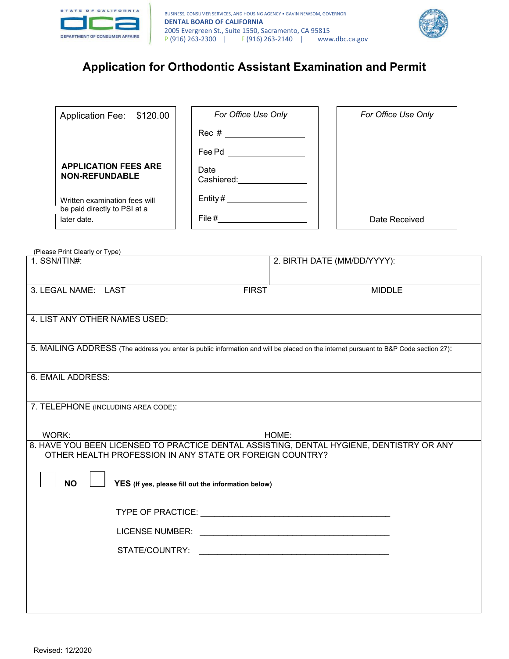



# **Application for Orthodontic Assistant Examination and Permit**

## **APPLICATION FEES ARE Date**<br>NON REFUURARLE **NON-REFUNDABLE**

| For Office Use Only   | For Office Use Only |
|-----------------------|---------------------|
| Rec # _______________ |                     |
| Fee Pd                |                     |
| Date<br>Cashiered:    |                     |
| Entity $#$            |                     |
| File #                | Date Received       |
|                       |                     |

(Please Print Clearly or Type)

| $1.$ SSN/ITIN#:                                                                                                                      | 2. BIRTH DATE (MM/DD/YYYY): |  |  |  |
|--------------------------------------------------------------------------------------------------------------------------------------|-----------------------------|--|--|--|
|                                                                                                                                      |                             |  |  |  |
| 3. LEGAL NAME: LAST<br><b>FIRST</b>                                                                                                  | <b>MIDDLE</b>               |  |  |  |
|                                                                                                                                      |                             |  |  |  |
| 4. LIST ANY OTHER NAMES USED:                                                                                                        |                             |  |  |  |
|                                                                                                                                      |                             |  |  |  |
| 5. MAILING ADDRESS (The address you enter is public information and will be placed on the internet pursuant to B&P Code section 27): |                             |  |  |  |
|                                                                                                                                      |                             |  |  |  |
| 6. EMAIL ADDRESS:                                                                                                                    |                             |  |  |  |
|                                                                                                                                      |                             |  |  |  |
| 7. TELEPHONE (INCLUDING AREA CODE):                                                                                                  |                             |  |  |  |
| WORK:                                                                                                                                | HOME:                       |  |  |  |
| 8. HAVE YOU BEEN LICENSED TO PRACTICE DENTAL ASSISTING, DENTAL HYGIENE, DENTISTRY OR ANY                                             |                             |  |  |  |
| OTHER HEALTH PROFESSION IN ANY STATE OR FOREIGN COUNTRY?                                                                             |                             |  |  |  |
|                                                                                                                                      |                             |  |  |  |
| <b>NO</b><br>YES (If yes, please fill out the information below)                                                                     |                             |  |  |  |
|                                                                                                                                      |                             |  |  |  |
|                                                                                                                                      |                             |  |  |  |
|                                                                                                                                      |                             |  |  |  |
|                                                                                                                                      |                             |  |  |  |
|                                                                                                                                      |                             |  |  |  |
|                                                                                                                                      |                             |  |  |  |
|                                                                                                                                      |                             |  |  |  |
|                                                                                                                                      |                             |  |  |  |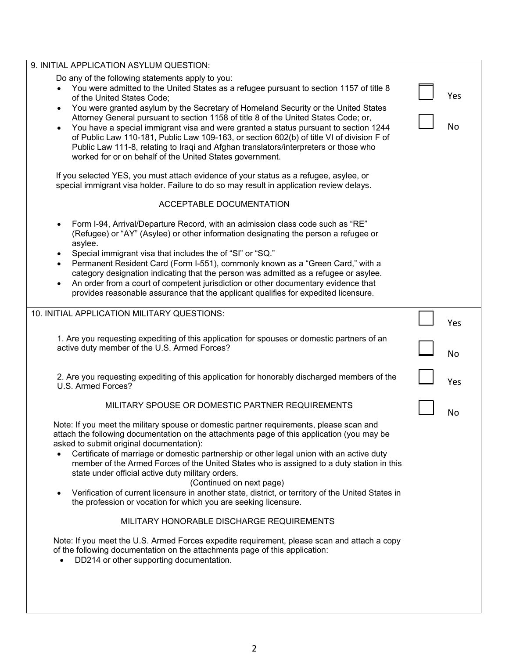| 9. INITIAL APPLICATION ASYLUM QUESTION:                                                                                                                                                                                                                                                                                                                                                                                                                                                                                                                                                                                                                                                                                                                                                                                                                                                                                                                     |           |
|-------------------------------------------------------------------------------------------------------------------------------------------------------------------------------------------------------------------------------------------------------------------------------------------------------------------------------------------------------------------------------------------------------------------------------------------------------------------------------------------------------------------------------------------------------------------------------------------------------------------------------------------------------------------------------------------------------------------------------------------------------------------------------------------------------------------------------------------------------------------------------------------------------------------------------------------------------------|-----------|
| Do any of the following statements apply to you:<br>You were admitted to the United States as a refugee pursuant to section 1157 of title 8<br>of the United States Code;<br>You were granted asylum by the Secretary of Homeland Security or the United States<br>Attorney General pursuant to section 1158 of title 8 of the United States Code; or,<br>You have a special immigrant visa and were granted a status pursuant to section 1244<br>of Public Law 110-181, Public Law 109-163, or section 602(b) of title VI of division F of<br>Public Law 111-8, relating to Iraqi and Afghan translators/interpreters or those who<br>worked for or on behalf of the United States government.<br>If you selected YES, you must attach evidence of your status as a refugee, asylee, or                                                                                                                                                                    | Yes<br>No |
| special immigrant visa holder. Failure to do so may result in application review delays.                                                                                                                                                                                                                                                                                                                                                                                                                                                                                                                                                                                                                                                                                                                                                                                                                                                                    |           |
| ACCEPTABLE DOCUMENTATION                                                                                                                                                                                                                                                                                                                                                                                                                                                                                                                                                                                                                                                                                                                                                                                                                                                                                                                                    |           |
| Form I-94, Arrival/Departure Record, with an admission class code such as "RE"<br>(Refugee) or "AY" (Asylee) or other information designating the person a refugee or<br>asylee.<br>Special immigrant visa that includes the of "SI" or "SQ."<br>Permanent Resident Card (Form I-551), commonly known as a "Green Card," with a<br>category designation indicating that the person was admitted as a refugee or asylee.<br>An order from a court of competent jurisdiction or other documentary evidence that<br>provides reasonable assurance that the applicant qualifies for expedited licensure.                                                                                                                                                                                                                                                                                                                                                        |           |
| 10. INITIAL APPLICATION MILITARY QUESTIONS:                                                                                                                                                                                                                                                                                                                                                                                                                                                                                                                                                                                                                                                                                                                                                                                                                                                                                                                 | Yes       |
| 1. Are you requesting expediting of this application for spouses or domestic partners of an<br>active duty member of the U.S. Armed Forces?                                                                                                                                                                                                                                                                                                                                                                                                                                                                                                                                                                                                                                                                                                                                                                                                                 | <b>No</b> |
| 2. Are you requesting expediting of this application for honorably discharged members of the<br>U.S. Armed Forces?                                                                                                                                                                                                                                                                                                                                                                                                                                                                                                                                                                                                                                                                                                                                                                                                                                          | Yes       |
|                                                                                                                                                                                                                                                                                                                                                                                                                                                                                                                                                                                                                                                                                                                                                                                                                                                                                                                                                             |           |
| MILITARY SPOUSE OR DOMESTIC PARTNER REQUIREMENTS                                                                                                                                                                                                                                                                                                                                                                                                                                                                                                                                                                                                                                                                                                                                                                                                                                                                                                            |           |
| Note: If you meet the military spouse or domestic partner requirements, please scan and<br>attach the following documentation on the attachments page of this application (you may be<br>asked to submit original documentation):<br>Certificate of marriage or domestic partnership or other legal union with an active duty<br>member of the Armed Forces of the United States who is assigned to a duty station in this<br>state under official active duty military orders.<br>(Continued on next page)<br>Verification of current licensure in another state, district, or territory of the United States in<br>the profession or vocation for which you are seeking licensure.<br>MILITARY HONORABLE DISCHARGE REQUIREMENTS<br>Note: If you meet the U.S. Armed Forces expedite requirement, please scan and attach a copy<br>of the following documentation on the attachments page of this application:<br>DD214 or other supporting documentation. | No        |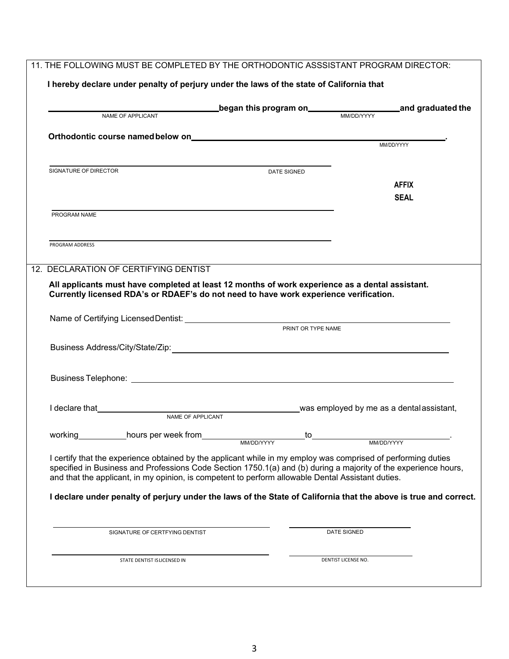| NAME OF APPLICANT                     |                                                                                                                                                                                                                                                                                                                                                                                                                                                           | <b>of the program on the disk of the set of the set of the set of the set of the set of the set of the set of the</b><br>MM/DD/YYYY |                                                                                       |              |
|---------------------------------------|-----------------------------------------------------------------------------------------------------------------------------------------------------------------------------------------------------------------------------------------------------------------------------------------------------------------------------------------------------------------------------------------------------------------------------------------------------------|-------------------------------------------------------------------------------------------------------------------------------------|---------------------------------------------------------------------------------------|--------------|
|                                       |                                                                                                                                                                                                                                                                                                                                                                                                                                                           |                                                                                                                                     |                                                                                       |              |
|                                       |                                                                                                                                                                                                                                                                                                                                                                                                                                                           |                                                                                                                                     |                                                                                       |              |
| SIGNATURE OF DIRECTOR                 |                                                                                                                                                                                                                                                                                                                                                                                                                                                           |                                                                                                                                     |                                                                                       |              |
|                                       |                                                                                                                                                                                                                                                                                                                                                                                                                                                           | DATE SIGNED                                                                                                                         |                                                                                       | <b>AFFIX</b> |
|                                       |                                                                                                                                                                                                                                                                                                                                                                                                                                                           |                                                                                                                                     |                                                                                       | <b>SEAL</b>  |
| PROGRAM NAME                          |                                                                                                                                                                                                                                                                                                                                                                                                                                                           |                                                                                                                                     |                                                                                       |              |
|                                       |                                                                                                                                                                                                                                                                                                                                                                                                                                                           |                                                                                                                                     |                                                                                       |              |
| PROGRAM ADDRESS                       |                                                                                                                                                                                                                                                                                                                                                                                                                                                           |                                                                                                                                     |                                                                                       |              |
|                                       |                                                                                                                                                                                                                                                                                                                                                                                                                                                           |                                                                                                                                     |                                                                                       |              |
| 12. DECLARATION OF CERTIFYING DENTIST |                                                                                                                                                                                                                                                                                                                                                                                                                                                           |                                                                                                                                     |                                                                                       |              |
|                                       |                                                                                                                                                                                                                                                                                                                                                                                                                                                           |                                                                                                                                     | Currently licensed RDA's or RDAEF's do not need to have work experience verification. |              |
|                                       |                                                                                                                                                                                                                                                                                                                                                                                                                                                           | PRINT OR TYPE NAME                                                                                                                  |                                                                                       |              |
|                                       |                                                                                                                                                                                                                                                                                                                                                                                                                                                           |                                                                                                                                     |                                                                                       |              |
|                                       |                                                                                                                                                                                                                                                                                                                                                                                                                                                           |                                                                                                                                     |                                                                                       |              |
|                                       | NAME OF APPLICANT                                                                                                                                                                                                                                                                                                                                                                                                                                         |                                                                                                                                     |                                                                                       |              |
| working                               | hours per week from                                                                                                                                                                                                                                                                                                                                                                                                                                       | to                                                                                                                                  |                                                                                       |              |
|                                       | I certify that the experience obtained by the applicant while in my employ was comprised of performing duties<br>specified in Business and Professions Code Section 1750.1(a) and (b) during a majority of the experience hours,<br>and that the applicant, in my opinion, is competent to perform allowable Dental Assistant duties.<br>I declare under penalty of perjury under the laws of the State of California that the above is true and correct. | MM/DD/YYYY                                                                                                                          | MM/DD/YYYY                                                                            |              |
|                                       | SIGNATURE OF CERTFYING DENTIST                                                                                                                                                                                                                                                                                                                                                                                                                            |                                                                                                                                     | DATE SIGNED                                                                           |              |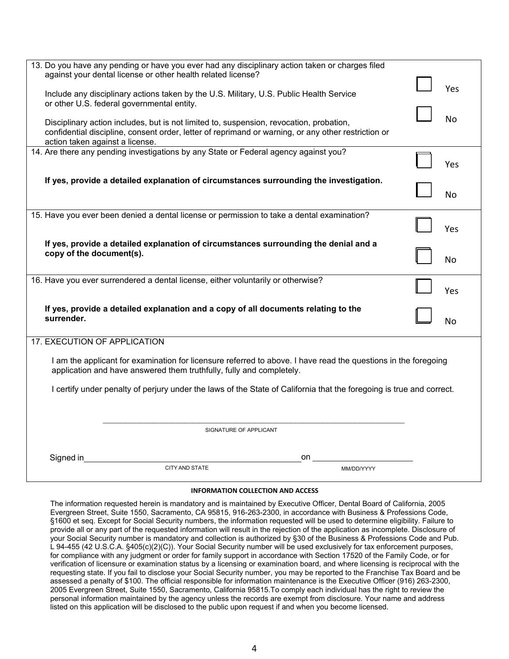| 13. Do you have any pending or have you ever had any disciplinary action taken or charges filed                                                                                        |           |
|----------------------------------------------------------------------------------------------------------------------------------------------------------------------------------------|-----------|
| against your dental license or other health related license?                                                                                                                           |           |
| Include any disciplinary actions taken by the U.S. Military, U.S. Public Health Service                                                                                                | Yes       |
| or other U.S. federal governmental entity.                                                                                                                                             |           |
| Disciplinary action includes, but is not limited to, suspension, revocation, probation,                                                                                                | <b>No</b> |
| confidential discipline, consent order, letter of reprimand or warning, or any other restriction or                                                                                    |           |
| action taken against a license.                                                                                                                                                        |           |
| 14. Are there any pending investigations by any State or Federal agency against you?                                                                                                   | Yes       |
| If yes, provide a detailed explanation of circumstances surrounding the investigation.                                                                                                 | N٥        |
| 15. Have you ever been denied a dental license or permission to take a dental examination?                                                                                             |           |
|                                                                                                                                                                                        | Yes       |
| If yes, provide a detailed explanation of circumstances surrounding the denial and a                                                                                                   |           |
| copy of the document(s).                                                                                                                                                               | <b>No</b> |
| 16. Have you ever surrendered a dental license, either voluntarily or otherwise?                                                                                                       |           |
|                                                                                                                                                                                        | Yes       |
| If yes, provide a detailed explanation and a copy of all documents relating to the                                                                                                     |           |
| surrender.                                                                                                                                                                             | <b>No</b> |
| 17. EXECUTION OF APPLICATION                                                                                                                                                           |           |
| I am the applicant for examination for licensure referred to above. I have read the questions in the foregoing<br>application and have answered them truthfully, fully and completely. |           |
| I certify under penalty of perjury under the laws of the State of California that the foregoing is true and correct.                                                                   |           |
|                                                                                                                                                                                        |           |
|                                                                                                                                                                                        |           |
| SIGNATURE OF APPLICANT                                                                                                                                                                 |           |
|                                                                                                                                                                                        |           |
| Signed in<br>on                                                                                                                                                                        |           |
| CITY AND STATE<br>MM/DD/YYYY                                                                                                                                                           |           |

#### **INFORMATION COLLECTION AND ACCESS**

The information requested herein is mandatory and is maintained by Executive Officer, Dental Board of California, 2005 Evergreen Street, Suite 1550, Sacramento, CA 95815, 916-263-2300, in accordance with Business & Professions Code, §1600 et seq. Except for Social Security numbers, the information requested will be used to determine eligibility. Failure to provide all or any part of the requested information will result in the rejection of the application as incomplete. Disclosure of your Social Security number is mandatory and collection is authorized by §30 of the Business & Professions Code and Pub. L 94-455 (42 U.S.C.A. §405(c)(2)(C)). Your Social Security number will be used exclusively for tax enforcement purposes, for compliance with any judgment or order for family support in accordance with Section 17520 of the Family Code, or for verification of licensure or examination status by a licensing or examination board, and where licensing is reciprocal with the requesting state. If you fail to disclose your Social Security number, you may be reported to the Franchise Tax Board and be assessed a penalty of \$100. The official responsible for information maintenance is the Executive Officer (916) 263-2300, 2005 Evergreen Street, Suite 1550, Sacramento, California [95815.To](https://95815.To) comply each individual has the right to review the personal information maintained by the agency unless the records are exempt from disclosure. Your name and address listed on this application will be disclosed to the public upon request if and when you become licensed.